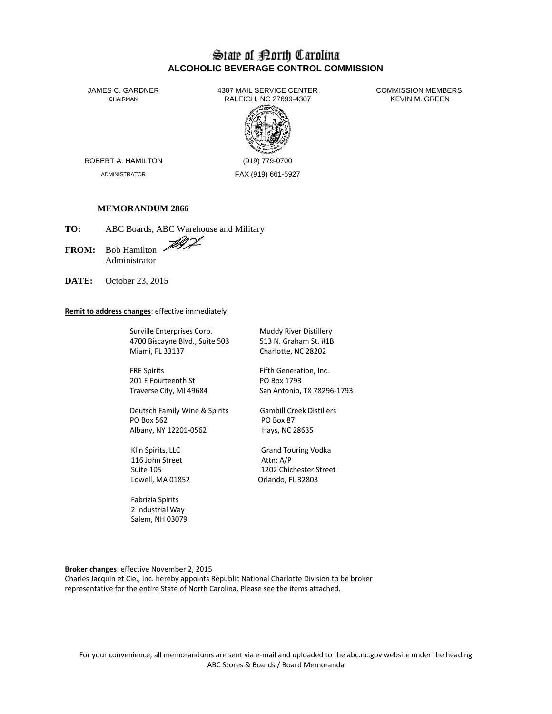# State of Borth Carolina **ALCOHOLIC BEVERAGE CONTROL COMMISSION**

JAMES C. GARDNER 4307 MAIL SERVICE CENTER<br>CHAIRMAN CHAIRMAN RALEIGH. NC 27699-4307 (ARVIN M. GREEN RALEIGH, NC 27699-4307



ROBERT A. HAMILTON (919) 779-0700

ADMINISTRATOR FAX (919) 661-5927

## **MEMORANDUM 2866**

**TO:** ABC Boards, ABC Warehouse and Military

FROM: Bob Hamilton Administrator

**DATE:** October 23, 2015

### **Remit to address changes**: effective immediately

Surville Enterprises Corp. Muddy River Distillery 4700 Biscayne Blvd., Suite 503 513 N. Graham St. #1B Miami, FL 33137 Charlotte, NC 28202

FRE Spirits FRE Spirits Fifth Generation, Inc. 201 E Fourteenth St PO Box 1793

Deutsch Family Wine & Spirits Gambill Creek Distillers PO Box 562 PO Box 87 Albany, NY 12201-0562 Hays, NC 28635

116 John Street Attn: A/P

 Fabrizia Spirits 2 Industrial Way Salem, NH 03079

Traverse City, MI 49684 San Antonio, TX 78296-1793

Klin Spirits, LLC **Grand Touring Vodka** Suite 105 1202 Chichester Street Lowell, MA 01852 Orlando, FL 32803

**Broker changes**: effective November 2, 2015

Charles Jacquin et Cie., Inc. hereby appoints Republic National Charlotte Division to be broker representative for the entire State of North Carolina. Please see the items attached.

For your convenience, all memorandums are sent via e-mail and uploaded to the abc.nc.gov website under the heading ABC Stores & Boards / Board Memoranda